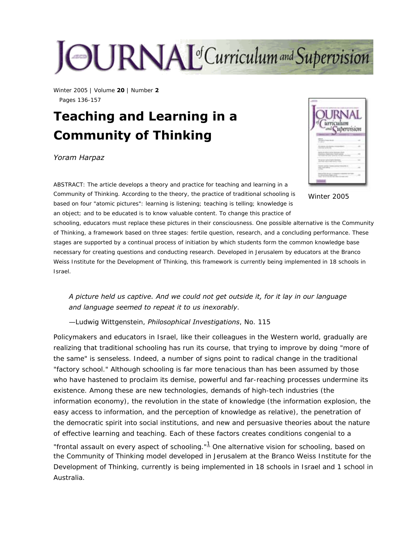# JOURNAL<sup>of</sup>Curriculum and Supervision

Winter 2005 | Volume **20** | Number **2** Pages 136-157

# **Teaching and Learning in a Community of Thinking**

#### *Yoram Harpaz*



Winter 2005

ABSTRACT: The article develops a theory and practice for teaching and learning in a Community of Thinking. According to the theory, the practice of traditional schooling is based on four "atomic pictures": learning is listening; teaching is telling; knowledge is an object; and to be educated is to know valuable content. To change this practice of

schooling, educators must replace these pictures in their consciousness. One possible alternative is the Community of Thinking, a framework based on three stages: fertile question, research, and a concluding performance. These stages are supported by a continual process of initiation by which students form the common knowledge base necessary for creating questions and conducting research. Developed in Jerusalem by educators at the Branco Weiss Institute for the Development of Thinking, this framework is currently being implemented in 18 schools in Israel.

*A picture held us captive. And we could not get outside it, for it lay in our language and language seemed to repeat it to us inexorably*.

—Ludwig Wittgenstein, *Philosophical Investigations*, No. 115

<span id="page-0-0"></span>Policymakers and educators in Israel, like their colleagues in the Western world, gradually are realizing that traditional schooling has run its course, that trying to improve by doing "more of the same" is senseless. Indeed, a number of signs point to radical change in the traditional "factory school." Although schooling is far more tenacious than has been assumed by those who have hastened to proclaim its demise, powerful and far-reaching processes undermine its existence. Among these are new technologies, demands of high-tech industries (the information economy), the revolution in the state of knowledge (the information explosion, the easy access to information, and the perception of knowledge as relative), the penetration of the democratic spirit into social institutions, and new and persuasive theories about the nature of effective learning and teaching. Each of these factors creates conditions congenial to a "frontal assault on every aspect of schooling." $1/2$  $1/2$  One alternative vision for schooling, based on the Community of Thinking model developed in Jerusalem at the Branco Weiss Institute for the Development of Thinking, currently is being implemented in 18 schools in Israel and 1 school in Australia.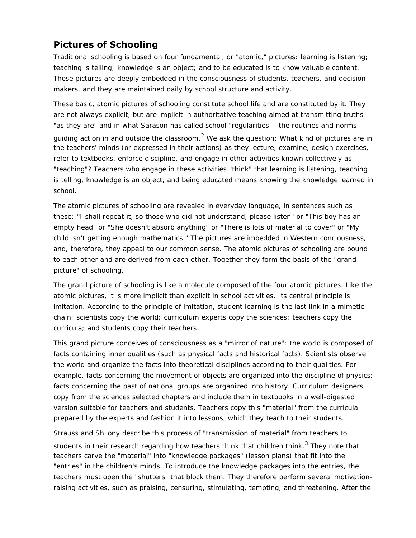# **Pictures of Schooling**

Traditional schooling is based on four fundamental, or "atomic," pictures: learning is listening; teaching is telling; knowledge is an object; and to be educated is to know valuable content. These pictures are deeply embedded in the consciousness of students, teachers, and decision makers, and they are maintained daily by school structure and activity.

These basic, atomic pictures of schooling constitute school life and are constituted by it. They are not always explicit, but are implicit in authoritative teaching aimed at transmitting truths "as they are" and in what Sarason has called school "regularities"—the routines and norms

<span id="page-1-0"></span>guiding action in and outside the classroom. $^2$  $^2$  We ask the question: What kind of pictures are in the teachers' minds (or expressed in their actions) as they lecture, examine, design exercises, refer to textbooks, enforce discipline, and engage in other activities known collectively as "teaching"? Teachers who engage in these activities "think" that learning is listening, teaching is telling, knowledge is an object, and being educated means knowing the knowledge learned in school.

The atomic pictures of schooling are revealed in everyday language, in sentences such as these: "I shall repeat it, so those who did not understand, please listen" or "This boy has an empty head" or "She doesn't absorb anything" or "There is lots of material to cover" or "My child isn't getting enough mathematics." The pictures are imbedded in Western conciousness, and, therefore, they appeal to our common sense. The atomic pictures of schooling are bound to each other and are derived from each other. Together they form the basis of the "grand picture" of schooling.

The grand picture of schooling is like a molecule composed of the four atomic pictures. Like the atomic pictures, it is more implicit than explicit in school activities. Its central principle is imitation. According to the principle of imitation, student learning is the last link in a mimetic chain: scientists copy the world; curriculum experts copy the sciences; teachers copy the curricula; and students copy their teachers.

This grand picture conceives of consciousness as a "mirror of nature": the world is composed of facts containing inner qualities (such as physical facts and historical facts). Scientists observe the world and organize the facts into theoretical disciplines according to their qualities. For example, facts concerning the movement of objects are organized into the discipline of physics; facts concerning the past of national groups are organized into history. Curriculum designers copy from the sciences selected chapters and include them in textbooks in a well-digested version suitable for teachers and students. Teachers copy this "material" from the curricula prepared by the experts and fashion it into lessons, which they teach to their students.

Strauss and Shilony describe this process of "transmission of material" from teachers to

<span id="page-1-1"></span>students in their research regarding how teachers think that children think. $3$  They note that teachers carve the "material" into "knowledge packages" (lesson plans) that fit into the "entries" in the children's minds. To introduce the knowledge packages into the entries, the teachers must open the "shutters" that block them. They therefore perform several motivationraising activities, such as praising, censuring, stimulating, tempting, and threatening. After the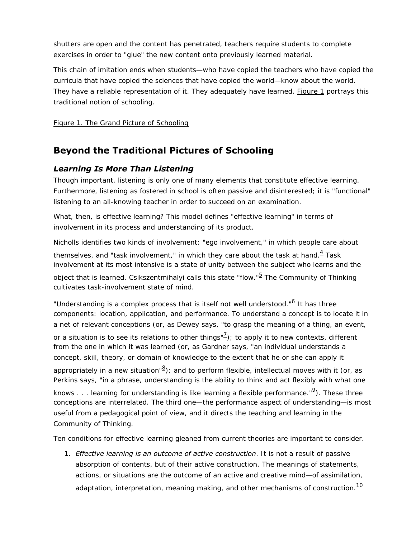shutters are open and the content has penetrated, teachers require students to complete exercises in order to "glue" the new content onto previously learned material.

This chain of imitation ends when students—who have copied the teachers who have copied the curricula that have copied the sciences that have copied the world—know about the world. They have a reliable representation of it. They adequately have learned. [Figure 1](#page-3-0) portrays this traditional notion of schooling.

[Figure 1. The Grand Picture of Schooling](#page-3-0)

# **Beyond the Traditional Pictures of Schooling**

#### *Learning Is More Than Listening*

Though important, listening is only one of many elements that constitute effective learning. Furthermore, listening as fostered in school is often passive and disinterested; it is "functional" listening to an all-knowing teacher in order to succeed on an examination.

What, then, is effective learning? This model defines "effective learning" in terms of involvement in its process and understanding of its product.

Nicholls identifies two kinds of involvement: "ego involvement," in which people care about

<span id="page-2-0"></span>themselves, and "task involvement," in which they care about the task at hand. $4$  Task involvement at its most intensive is a state of unity between the subject who learns and the

<span id="page-2-1"></span>object that is learned. Csikszentmihalyi calls this state "flow."<sup>[5](#page-18-4)</sup> The Community of Thinking cultivates task-involvement state of mind.

<span id="page-2-2"></span>"Understanding is a complex process that is itself not well understood."<sup>[6](#page-18-5)</sup> It has three components: location, application, and performance. To understand a concept is to locate it in a net of relevant conceptions (or, as Dewey says, "to grasp the meaning of a thing, an event,

<span id="page-2-3"></span>or a situation is to see its relations to other things" $\frac{7}{2}$  $\frac{7}{2}$  $\frac{7}{2}$ ); to apply it to new contexts, different from the one in which it was learned (or, as Gardner says, "an individual understands a concept, skill, theory, or domain of knowledge to the extent that he or she can apply it

<span id="page-2-4"></span>appropriately in a new situation"<sup>[8](#page-18-7)</sup>); and to perform flexible, intellectual moves with it (or, as Perkins says, "in a phrase, understanding is the ability to think and act flexibly with what one

<span id="page-2-5"></span>knows . . . learning for understanding is like learning a flexible performance."<sup>[9](#page-18-8)</sup>). These three conceptions are interrelated. The third one—the performance aspect of understanding—is most useful from a pedagogical point of view, and it directs the teaching and learning in the Community of Thinking.

Ten conditions for effective learning gleaned from current theories are important to consider.

<span id="page-2-6"></span>1. *Effective learning is an outcome of active construction*. It is not a result of passive absorption of contents, but of their active construction. The meanings of statements, actions, or situations are the outcome of an active and creative mind—of assimilation, adaptation, interpretation, meaning making, and other mechanisms of construction. $10$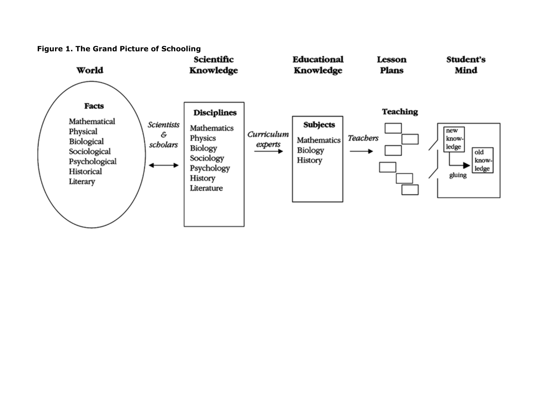<span id="page-3-0"></span>

**Figure 1. The Grand Picture of Schooling**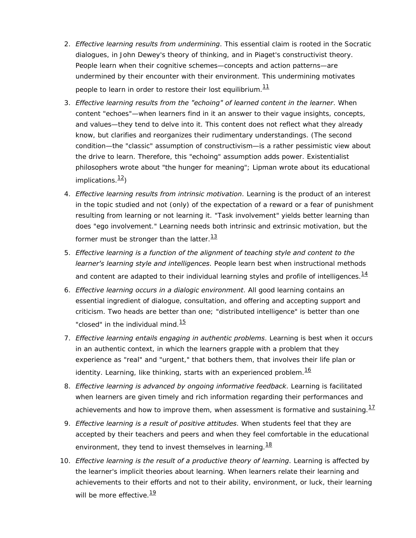- 2. *Effective learning results from undermining*. This essential claim is rooted in the Socratic dialogues, in John Dewey's theory of thinking, and in Piaget's constructivist theory. People learn when their cognitive schemes—concepts and action patterns—are undermined by their encounter with their environment. This undermining motivates people to learn in order to restore their lost equilibrium. $\frac{11}{1}$  $\frac{11}{1}$  $\frac{11}{1}$
- <span id="page-4-0"></span>3. *Effective learning results from the "echoing" of learned content in the learner*. When content "echoes"—when learners find in it an answer to their vague insights, concepts, and values—they tend to delve into it. This content does not reflect what they already know, but clarifies and reorganizes their rudimentary understandings. (The second condition—the "classic" assumption of constructivism—is a rather pessimistic view about the drive to learn. Therefore, this "echoing" assumption adds power. Existentialist philosophers wrote about "the hunger for meaning"; Lipman wrote about its educational implications. $\frac{12}{2}$
- <span id="page-4-1"></span>4. *Effective learning results from intrinsic motivation*. Learning is the product of an interest in the topic studied and not (only) of the expectation of a reward or a fear of punishment resulting from learning or not learning it. "Task involvement" yields better learning than does "ego involvement." Learning needs both intrinsic and extrinsic motivation, but the former must be stronger than the latter. $\frac{13}{13}$  $\frac{13}{13}$  $\frac{13}{13}$
- <span id="page-4-2"></span>5. *Effective learning is a function of the alignment of teaching style and content to the learner's learning style and intelligences*. People learn best when instructional methods and content are adapted to their individual learning styles and profile of intelligences. $\frac{14}{1}$  $\frac{14}{1}$  $\frac{14}{1}$
- <span id="page-4-3"></span>6. *Effective learning occurs in a dialogic environment*. All good learning contains an essential ingredient of dialogue, consultation, and offering and accepting support and criticism. Two heads are better than one; "distributed intelligence" is better than one "closed" in the individual mind. $15$
- <span id="page-4-4"></span>7. *Effective learning entails engaging in authentic problems*. Learning is best when it occurs in an authentic context, in which the learners grapple with a problem that they experience as "real" and "urgent," that bothers them, that involves their life plan or identity. Learning, like thinking, starts with an experienced problem. $\frac{16}{16}$  $\frac{16}{16}$  $\frac{16}{16}$
- <span id="page-4-5"></span>8. *Effective learning is advanced by ongoing informative feedback*. Learning is facilitated when learners are given timely and rich information regarding their performances and achievements and how to improve them, when assessment is formative and sustaining. $\frac{17}{12}$  $\frac{17}{12}$  $\frac{17}{12}$
- <span id="page-4-6"></span>9. *Effective learning is a result of positive attitudes*. When students feel that they are accepted by their teachers and peers and when they feel comfortable in the educational environment, they tend to invest themselves in learning.  $\frac{18}{16}$  $\frac{18}{16}$  $\frac{18}{16}$
- <span id="page-4-8"></span><span id="page-4-7"></span>10. *Effective learning is the result of a productive theory of learning*. Learning is affected by the learner's implicit theories about learning. When learners relate their learning and achievements to their efforts and not to their ability, environment, or luck, their learning will be more effective.  $\frac{19}{12}$  $\frac{19}{12}$  $\frac{19}{12}$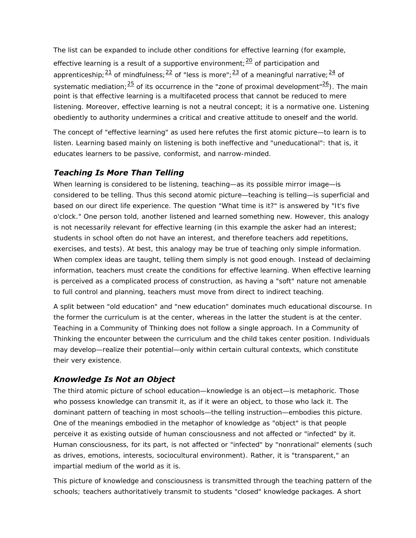The list can be expanded to include other conditions for effective learning (for example,

<span id="page-5-2"></span><span id="page-5-1"></span><span id="page-5-0"></span>effective learning is a result of a supportive environment;  $\frac{20}{20}$  of participation and apprenticeship;  $\frac{21}{1}$  of mindfulness;  $\frac{22}{1}$  of "less is more";  $\frac{23}{1}$  of a meaningful narrative;  $\frac{24}{1}$  of systematic mediation;  $\frac{25}{5}$  $\frac{25}{5}$  $\frac{25}{5}$  of its occurrence in the "zone of proximal development"  $\frac{26}{5}$ ). The main point is that effective learning is a multifaceted process that cannot be reduced to mere listening. Moreover, effective learning is not a neutral concept; it is a normative one. Listening obediently to authority undermines a critical and creative attitude to oneself and the world.

The concept of "effective learning" as used here refutes the first atomic picture—to learn is to listen. Learning based mainly on listening is both ineffective and "uneducational": that is, it educates learners to be passive, conformist, and narrow-minded.

### *Teaching Is More Than Telling*

When learning is considered to be listening, teaching—as its possible mirror image—is considered to be telling. Thus this second atomic picture—teaching is telling—is superficial and based on our direct life experience. The question "What time is it?" is answered by "It's five o'clock." One person told, another listened and learned something new. However, this analogy is not necessarily relevant for effective learning (in this example the asker had an interest; students in school often do not have an interest, and therefore teachers add repetitions, exercises, and tests). At best, this analogy may be true of teaching only simple information. When complex ideas are taught, telling them simply is not good enough. Instead of declaiming information, teachers must create the conditions for effective learning. When effective learning is perceived as a complicated process of construction, as having a "soft" nature not amenable to full control and planning, teachers must move from direct to indirect teaching.

A split between "old education" and "new education" dominates much educational discourse. In the former the curriculum is at the center, whereas in the latter the student is at the center. Teaching in a Community of Thinking does not follow a single approach. In a Community of Thinking the encounter between the curriculum and the child takes center position. Individuals may develop—realize their potential—only within certain cultural contexts, which constitute their very existence.

### *Knowledge Is Not an Object*

The third atomic picture of school education—knowledge is an object—is metaphoric. Those who possess knowledge can transmit it, as if it were an object, to those who lack it. The dominant pattern of teaching in most schools—the telling instruction—embodies this picture. One of the meanings embodied in the metaphor of knowledge as "object" is that people perceive it as existing outside of human consciousness and not affected or "infected" by it. Human consciousness, for its part, is not affected or "infected" by "nonrational" elements (such as drives, emotions, interests, sociocultural environment). Rather, it is "transparent," an impartial medium of the world as it is.

This picture of knowledge and consciousness is transmitted through the teaching pattern of the schools; teachers authoritatively transmit to students "closed" knowledge packages. A short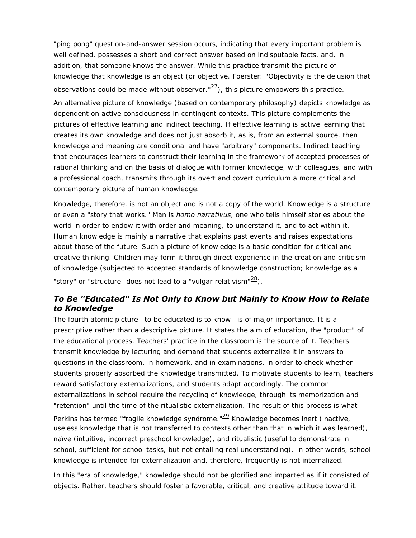"ping pong" question-and-answer session occurs, indicating that every important problem is well defined, possesses a short and correct answer based on indisputable facts, and, in addition, that someone knows the answer. While this practice transmit the picture of knowledge that knowledge is an object (or objective. Foerster: "Objectivity is the delusion that observations could be made without observer." $\frac{27}{2}$  $\frac{27}{2}$  $\frac{27}{2}$ ), this picture empowers this practice.

<span id="page-6-0"></span>An alternative picture of knowledge (based on contemporary philosophy) depicts knowledge as dependent on active consciousness in contingent contexts. This picture complements the pictures of effective learning and indirect teaching. If effective learning is active learning that creates its own knowledge and does not just absorb it, as is, from an external source, then knowledge and meaning are conditional and have "arbitrary" components. Indirect teaching that encourages learners to construct their learning in the framework of accepted processes of rational thinking and on the basis of dialogue with former knowledge, with colleagues, and with a professional coach, transmits through its overt and covert curriculum a more critical and contemporary picture of human knowledge.

Knowledge, therefore, is not an object and is not a copy of the world. Knowledge is a structure or even a "story that works." Man is *homo narrativus*, one who tells himself stories about the world in order to endow it with order and meaning, to understand it, and to act within it. Human knowledge is mainly a narrative that explains past events and raises expectations about those of the future. Such a picture of knowledge is a basic condition for critical and creative thinking. Children may form it through direct experience in the creation and criticism of knowledge (subjected to accepted standards of knowledge construction; knowledge as a "story" or "structure" does not lead to a "vulgar relativism"<sup>28</sup>).

#### <span id="page-6-1"></span>*To Be "Educated" Is Not Only to Know but Mainly to Know How to Relate to Knowledge*

The fourth atomic picture—to be educated is to know—is of major importance. It is a prescriptive rather than a descriptive picture. It states the aim of education, the "product" of the educational process. Teachers' practice in the classroom is the source of it. Teachers transmit knowledge by lecturing and demand that students externalize it in answers to questions in the classroom, in homework, and in examinations, in order to check whether students properly absorbed the knowledge transmitted. To motivate students to learn, teachers reward satisfactory externalizations, and students adapt accordingly. The common externalizations in school require the recycling of knowledge, through its memorization and "retention" until the time of the ritualistic externalization. The result of this process is what

<span id="page-6-2"></span>Perkins has termed "fragile knowledge syndrome." $\frac{29}{2}$  $\frac{29}{2}$  $\frac{29}{2}$  Knowledge becomes inert (inactive, useless knowledge that is not transferred to contexts other than that in which it was learned), naïve (intuitive, incorrect preschool knowledge), and ritualistic (useful to demonstrate in school, sufficient for school tasks, but not entailing real understanding). In other words, school knowledge is intended for externalization and, therefore, frequently is not internalized.

In this "era of knowledge," knowledge should not be glorified and imparted as if it consisted of objects. Rather, teachers should foster a favorable, critical, and creative attitude toward it.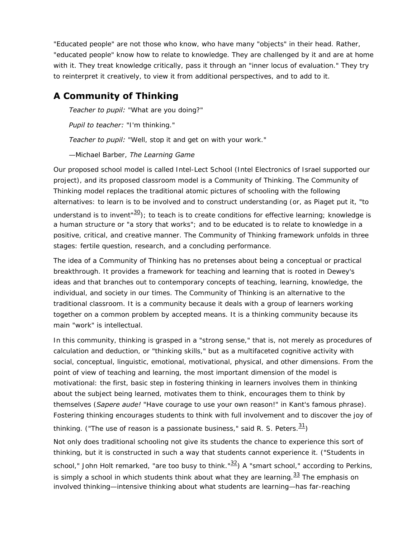"Educated people" are not those who know, who have many "objects" in their head. Rather, "educated people" know how to relate to knowledge. They are challenged by it and are at home with it. They treat knowledge critically, pass it through an "inner locus of evaluation." They try to reinterpret it creatively, to view it from additional perspectives, and to add to it.

# **A Community of Thinking**

*Teacher to pupil:* "What are you doing?"

*Pupil to teacher:* "I'm thinking."

*Teacher to pupil:* "Well, stop it and get on with your work."

—Michael Barber, *The Learning Game*

Our proposed school model is called Intel-Lect School (Intel Electronics of Israel supported our project), and its proposed classroom model is a Community of Thinking. The Community of Thinking model replaces the traditional atomic pictures of schooling with the following alternatives: to learn is to be involved and to construct understanding (or, as Piaget put it, "to understand is to invent<sup>"30</sup>); to teach is to create conditions for effective learning; knowledge is a human structure or "a story that works"; and to be educated is to relate to knowledge in a positive, critical, and creative manner. The Community of Thinking framework unfolds in three stages: fertile question, research, and a concluding performance.

<span id="page-7-0"></span>The idea of a Community of Thinking has no pretenses about being a conceptual or practical breakthrough. It provides a framework for teaching and learning that is rooted in Dewey's ideas and that branches out to contemporary concepts of teaching, learning, knowledge, the individual, and society in our times. The Community of Thinking is an alternative to the traditional classroom. It is a community because it deals with a group of learners working together on a common problem by accepted means. It is a thinking community because its main "work" is intellectual.

<span id="page-7-3"></span><span id="page-7-2"></span><span id="page-7-1"></span>In this community, thinking is grasped in a "strong sense," that is, not merely as procedures of calculation and deduction, or "thinking skills," but as a multifaceted cognitive activity with social, conceptual, linguistic, emotional, motivational, physical, and other dimensions. From the point of view of teaching and learning, the most important dimension of the model is motivational: the first, basic step in fostering thinking in learners involves them in thinking about the subject being learned, motivates them to think, encourages them to think by themselves (*Sapere aude!* "Have courage to use your own reason!" in Kant's famous phrase). Fostering thinking encourages students to think with full involvement and to discover the joy of thinking. ("The use of reason is a passionate business," said R. S. Peters. $\frac{31}{2}$  $\frac{31}{2}$  $\frac{31}{2}$ ) Not only does traditional schooling not give its students the chance to experience this sort of thinking, but it is constructed in such a way that students cannot experience it. ("Students in school," John Holt remarked, "are too busy to think." $\frac{32}{2}$  $\frac{32}{2}$  $\frac{32}{2}$ ) A "smart school," according to Perkins, is simply a school in which students think about what they are learning. $33$  The emphasis on involved thinking—intensive thinking about what students are learning—has far-reaching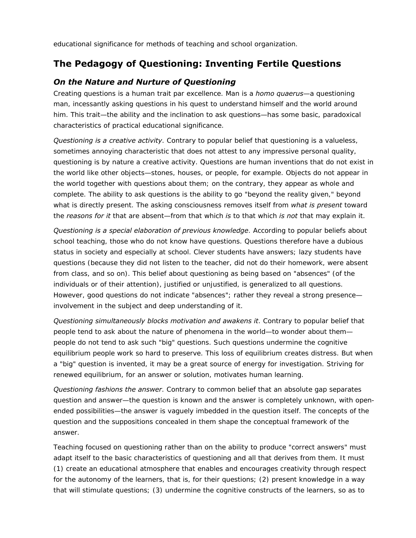educational significance for methods of teaching and school organization.

# **The Pedagogy of Questioning: Inventing Fertile Questions**

#### *On the Nature and Nurture of Questioning*

Creating questions is a human trait par excellence. Man is a *homo quaerus*—a questioning man, incessantly asking questions in his quest to understand himself and the world around him. This trait—the ability and the inclination to ask questions—has some basic, paradoxical characteristics of practical educational significance.

*Questioning is a creative activity*. Contrary to popular belief that questioning is a valueless, sometimes annoying characteristic that does not attest to any impressive personal quality, questioning is by nature a creative activity. Questions are human inventions that do not exist in the world like other objects—stones, houses, or people, for example. Objects do not appear in the world together with questions about them; on the contrary, they appear as whole and complete. The ability to ask questions is the ability to go "beyond the reality given," beyond what is directly present. The asking consciousness removes itself from *what is present* toward the *reasons for it* that are absent—from that which *is* to that which *is not* that may explain it.

*Questioning is a special elaboration of previous knowledge*. According to popular beliefs about school teaching, those who do not know have questions. Questions therefore have a dubious status in society and especially at school. Clever students have answers; lazy students have questions (because they did not listen to the teacher, did not do their homework, were absent from class, and so on). This belief about questioning as being based on "absences" (of the individuals or of their attention), justified or unjustified, is generalized to all questions. However, good questions do not indicate "absences"; rather they reveal a strong presence involvement in the subject and deep understanding of it.

*Questioning simultaneously blocks motivation and awakens it*. Contrary to popular belief that people tend to ask about the nature of phenomena in the world—to wonder about them people do not tend to ask such "big" questions. Such questions undermine the cognitive equilibrium people work so hard to preserve. This loss of equilibrium creates distress. But when a "big" question is invented, it may be a great source of energy for investigation. Striving for renewed equilibrium, for an answer or solution, motivates human learning.

*Questioning fashions the answer*. Contrary to common belief that an absolute gap separates question and answer—the question is known and the answer is completely unknown, with openended possibilities—the answer is vaguely imbedded in the question itself. The concepts of the question and the suppositions concealed in them shape the conceptual framework of the answer.

Teaching focused on questioning rather than on the ability to produce "correct answers" must adapt itself to the basic characteristics of questioning and all that derives from them. It must (1) create an educational atmosphere that enables and encourages creativity through respect for the autonomy of the learners, that is, for their questions; (2) present knowledge in a way that will stimulate questions; (3) undermine the cognitive constructs of the learners, so as to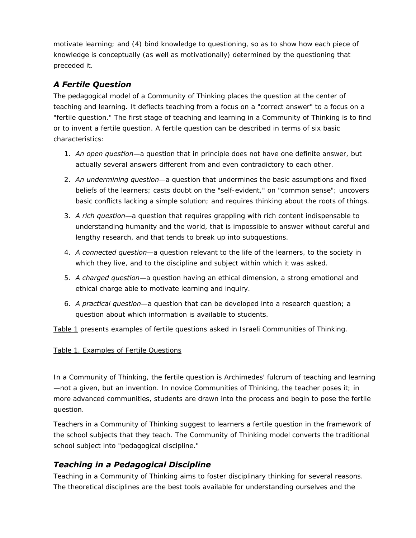motivate learning; and (4) bind knowledge to questioning, so as to show how each piece of knowledge is conceptually (as well as motivationally) determined by the questioning that preceded it.

# *A Fertile Question*

The pedagogical model of a Community of Thinking places the question at the center of teaching and learning. It deflects teaching from a focus on a "correct answer" to a focus on a "fertile question." The first stage of teaching and learning in a Community of Thinking is to find or to invent a fertile question. A fertile question can be described in terms of six basic characteristics:

- 1. *An open question*—a question that in principle does not have one definite answer, but actually several answers different from and even contradictory to each other.
- 2. *An undermining question*—a question that undermines the basic assumptions and fixed beliefs of the learners; casts doubt on the "self-evident," on "common sense"; uncovers basic conflicts lacking a simple solution; and requires thinking about the roots of things.
- 3. *A rich question*—a question that requires grappling with rich content indispensable to understanding humanity and the world, that is impossible to answer without careful and lengthy research, and that tends to break up into subquestions.
- 4. *A connected question*—a question relevant to the life of the learners, to the society in which they live, and to the discipline and subject within which it was asked.
- 5. *A charged question*—a question having an ethical dimension, a strong emotional and ethical charge able to motivate learning and inquiry.
- 6. *A practical question*—a question that can be developed into a research question; a question about which information is available to students.

[Table 1](#page-10-0) presents examples of fertile questions asked in Israeli Communities of Thinking.

#### [Table 1. Examples of Fertile Questions](#page-10-0)

In a Community of Thinking, the fertile question is Archimedes' fulcrum of teaching and learning —not a given, but an invention. In novice Communities of Thinking, the teacher poses it; in more advanced communities, students are drawn into the process and begin to pose the fertile question.

Teachers in a Community of Thinking suggest to learners a fertile question in the framework of the school subjects that they teach. The Community of Thinking model converts the traditional school subject into "pedagogical discipline."

# *Teaching in a Pedagogical Discipline*

Teaching in a Community of Thinking aims to foster disciplinary thinking for several reasons. The theoretical disciplines are the best tools available for understanding ourselves and the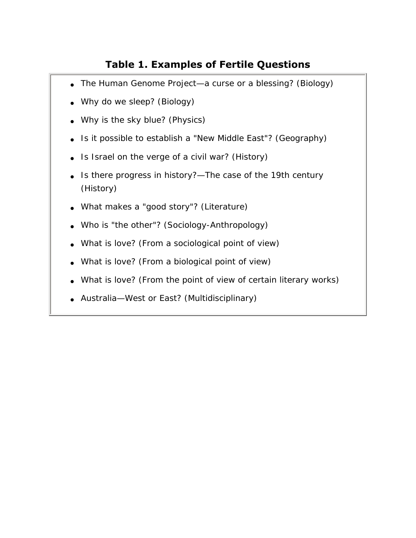# **Table 1. Examples of Fertile Questions**

- <span id="page-10-0"></span>• The Human Genome Project—a curse or a blessing? (Biology)
- Why do we sleep? (Biology)
- Why is the sky blue? (Physics)
- Is it possible to establish a "New Middle East"? (Geography)
- Is Israel on the verge of a civil war? (History)
- Is there progress in history?—The case of the 19th century (History)
- What makes a "good story"? (Literature)
- Who is "the other"? (Sociology-Anthropology)
- What is love? (From a sociological point of view)
- What is love? (From a biological point of view)
- What is love? (From the point of view of certain literary works)
- Australia—West or East? (Multidisciplinary)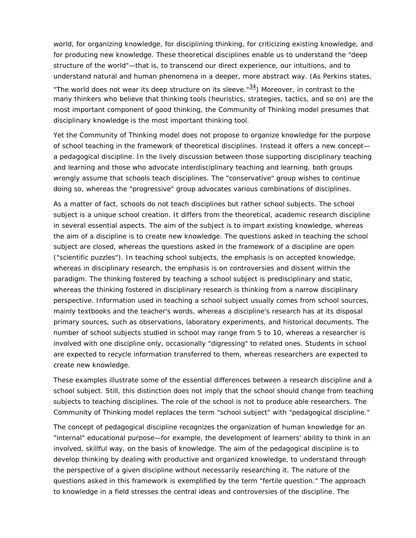world, for organizing knowledge, for disciplining thinking, for criticizing existing knowledge, and for producing new knowledge. These theoretical disciplines enable us to understand the "deep structure of the world"—that is, to transcend our direct experience, our intuitions, and to understand natural and human phenomena in a deeper, more abstract way. (As Perkins states, "The world does not wear its deep structure on its sleeve." $\frac{34}{2}$ ) Moreover, in contrast to the

<span id="page-11-0"></span>many thinkers who believe that thinking tools (heuristics, strategies, tactics, and so on) are the most important component of good thinking, the Community of Thinking model presumes that disciplinary knowledge is the most important thinking tool.

Yet the Community of Thinking model does not propose to organize knowledge for the purpose of school teaching in the framework of theoretical disciplines. Instead it offers a new concept a pedagogical discipline. In the lively discussion between those supporting disciplinary teaching and learning and those who advocate interdisciplinary teaching and learning, both groups wrongly assume that schools teach disciplines. The "conservative" group wishes to continue doing so, whereas the "progressive" group advocates various combinations of disciplines.

As a matter of fact, schools do not teach disciplines but rather school subjects. The school subject is a unique school creation. It differs from the theoretical, academic research discipline in several essential aspects. The aim of the subject is to impart existing knowledge, whereas the aim of a discipline is to create new knowledge. The questions asked in teaching the school subject are closed, whereas the questions asked in the framework of a discipline are open ("scientific puzzles"). In teaching school subjects, the emphasis is on accepted knowledge, whereas in disciplinary research, the emphasis is on controversies and dissent within the paradigm. The thinking fostered by teaching a school subject is predisciplinary and static, whereas the thinking fostered in disciplinary research is thinking from a narrow disciplinary perspective. Information used in teaching a school subject usually comes from school sources, mainly textbooks and the teacher's words, whereas a discipline's research has at its disposal primary sources, such as observations, laboratory experiments, and historical documents. The number of school subjects studied in school may range from 5 to 10, whereas a researcher is involved with one discipline only, occasionally "digressing" to related ones. Students in school are expected to recycle information transferred to them, whereas researchers are expected to create new knowledge.

These examples illustrate some of the essential differences between a research discipline and a school subject. Still, this distinction does not imply that the school should change from teaching subjects to teaching disciplines. The role of the school is not to produce able researchers. The Community of Thinking model replaces the term "school subject" with "pedagogical discipline."

The concept of pedagogical discipline recognizes the organization of human knowledge for an "internal" educational purpose—for example, the development of learners' ability to think in an involved, skillful way, on the basis of knowledge. The aim of the pedagogical discipline is to develop thinking by dealing with productive and organized knowledge, to understand through the perspective of a given discipline without necessarily researching it. The nature of the questions asked in this framework is exemplified by the term "fertile question." The approach to knowledge in a field stresses the central ideas and controversies of the discipline. The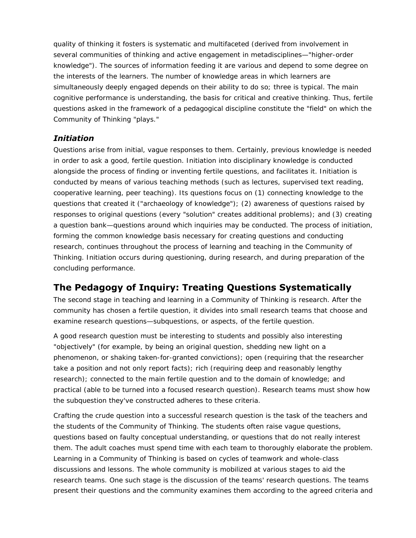quality of thinking it fosters is systematic and multifaceted (derived from involvement in several communities of thinking and active engagement in metadisciplines—"higher-order knowledge"). The sources of information feeding it are various and depend to some degree on the interests of the learners. The number of knowledge areas in which learners are simultaneously deeply engaged depends on their ability to do so; three is typical. The main cognitive performance is understanding, the basis for critical and creative thinking. Thus, fertile questions asked in the framework of a pedagogical discipline constitute the "field" on which the Community of Thinking "plays."

#### *Initiation*

Questions arise from initial, vague responses to them. Certainly, previous knowledge is needed in order to ask a good, fertile question. Initiation into disciplinary knowledge is conducted alongside the process of finding or inventing fertile questions, and facilitates it. Initiation is conducted by means of various teaching methods (such as lectures, supervised text reading, cooperative learning, peer teaching). Its questions focus on (1) connecting knowledge to the questions that created it ("archaeology of knowledge"); (2) awareness of questions raised by responses to original questions (every "solution" creates additional problems); and (3) creating a question bank—questions around which inquiries may be conducted. The process of initiation, forming the common knowledge basis necessary for creating questions and conducting research, continues throughout the process of learning and teaching in the Community of Thinking. Initiation occurs during questioning, during research, and during preparation of the concluding performance.

# **The Pedagogy of Inquiry: Treating Questions Systematically**

The second stage in teaching and learning in a Community of Thinking is research. After the community has chosen a fertile question, it divides into small research teams that choose and examine research questions—subquestions, or aspects, of the fertile question.

A good research question must be interesting to students and possibly also interesting "objectively" (for example, by being an original question, shedding new light on a phenomenon, or shaking taken-for-granted convictions); open (requiring that the researcher take a position and not only report facts); rich (requiring deep and reasonably lengthy research); connected to the main fertile question and to the domain of knowledge; and practical (able to be turned into a focused research question). Research teams must show how the subquestion they've constructed adheres to these criteria.

Crafting the crude question into a successful research question is the task of the teachers and the students of the Community of Thinking. The students often raise vague questions, questions based on faulty conceptual understanding, or questions that do not really interest them. The adult coaches must spend time with each team to thoroughly elaborate the problem. Learning in a Community of Thinking is based on cycles of teamwork and whole-class discussions and lessons. The whole community is mobilized at various stages to aid the research teams. One such stage is the discussion of the teams' research questions. The teams present their questions and the community examines them according to the agreed criteria and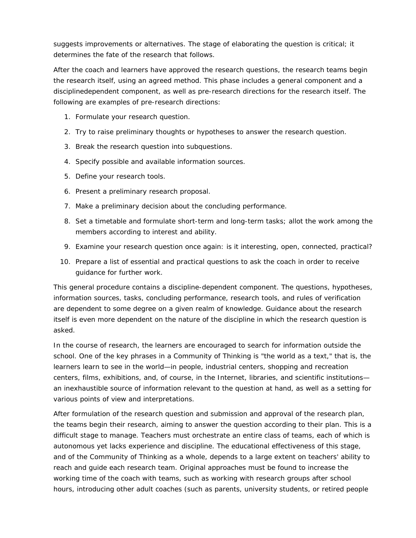suggests improvements or alternatives. The stage of elaborating the question is critical; it determines the fate of the research that follows.

After the coach and learners have approved the research questions, the research teams begin the research itself, using an agreed method. This phase includes a general component and a disciplinedependent component, as well as pre-research directions for the research itself. The following are examples of pre-research directions:

- 1. Formulate your research question.
- 2. Try to raise preliminary thoughts or hypotheses to answer the research question.
- 3. Break the research question into subquestions.
- 4. Specify possible and available information sources.
- 5. Define your research tools.
- 6. Present a preliminary research proposal.
- 7. Make a preliminary decision about the concluding performance.
- 8. Set a timetable and formulate short-term and long-term tasks; allot the work among the members according to interest and ability.
- 9. Examine your research question once again: is it interesting, open, connected, practical?
- 10. Prepare a list of essential and practical questions to ask the coach in order to receive guidance for further work.

This general procedure contains a discipline-dependent component. The questions, hypotheses, information sources, tasks, concluding performance, research tools, and rules of verification are dependent to some degree on a given realm of knowledge. Guidance about the research itself is even more dependent on the nature of the discipline in which the research question is asked.

In the course of research, the learners are encouraged to search for information outside the school. One of the key phrases in a Community of Thinking is "the world as a text," that is, the learners learn to see in the world—in people, industrial centers, shopping and recreation centers, films, exhibitions, and, of course, in the Internet, libraries, and scientific institutions an inexhaustible source of information relevant to the question at hand, as well as a setting for various points of view and interpretations.

After formulation of the research question and submission and approval of the research plan, the teams begin their research, aiming to answer the question according to their plan. This is a difficult stage to manage. Teachers must orchestrate an entire class of teams, each of which is autonomous yet lacks experience and discipline. The educational effectiveness of this stage, and of the Community of Thinking as a whole, depends to a large extent on teachers' ability to reach and guide each research team. Original approaches must be found to increase the working time of the coach with teams, such as working with research groups after school hours, introducing other adult coaches (such as parents, university students, or retired people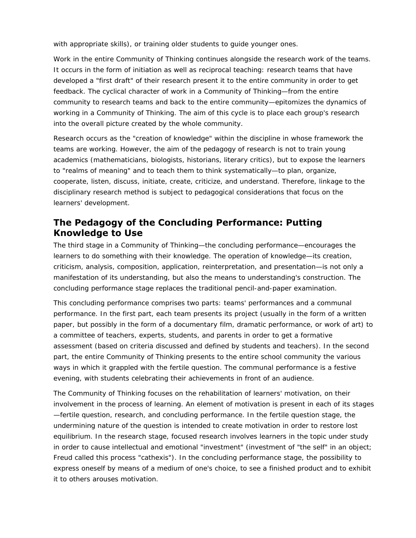with appropriate skills), or training older students to guide younger ones.

Work in the entire Community of Thinking continues alongside the research work of the teams. It occurs in the form of initiation as well as reciprocal teaching: research teams that have developed a "first draft" of their research present it to the entire community in order to get feedback. The cyclical character of work in a Community of Thinking—from the entire community to research teams and back to the entire community—epitomizes the dynamics of working in a Community of Thinking. The aim of this cycle is to place each group's research into the overall picture created by the whole community.

Research occurs as the "creation of knowledge" within the discipline in whose framework the teams are working. However, the aim of the pedagogy of research is not to train young academics (mathematicians, biologists, historians, literary critics), but to expose the learners to "realms of meaning" and to teach them to think systematically—to plan, organize, cooperate, listen, discuss, initiate, create, criticize, and understand. Therefore, linkage to the disciplinary research method is subject to pedagogical considerations that focus on the learners' development.

# **The Pedagogy of the Concluding Performance: Putting Knowledge to Use**

The third stage in a Community of Thinking—the concluding performance—encourages the learners to do something with their knowledge. The operation of knowledge—its creation, criticism, analysis, composition, application, reinterpretation, and presentation—is not only a manifestation of its understanding, but also the means to understanding's construction. The concluding performance stage replaces the traditional pencil-and-paper examination.

This concluding performance comprises two parts: teams' performances and a communal performance. In the first part, each team presents its project (usually in the form of a written paper, but possibly in the form of a documentary film, dramatic performance, or work of art) to a committee of teachers, experts, students, and parents in order to get a formative assessment (based on criteria discussed and defined by students and teachers). In the second part, the entire Community of Thinking presents to the entire school community the various ways in which it grappled with the fertile question. The communal performance is a festive evening, with students celebrating their achievements in front of an audience.

The Community of Thinking focuses on the rehabilitation of learners' motivation, on their involvement in the process of learning. An element of motivation is present in each of its stages —fertile question, research, and concluding performance. In the fertile question stage, the undermining nature of the question is intended to create motivation in order to restore lost equilibrium. In the research stage, focused research involves learners in the topic under study in order to cause intellectual and emotional "investment" (investment of "the self" in an object; Freud called this process "cathexis"). In the concluding performance stage, the possibility to express oneself by means of a medium of one's choice, to see a finished product and to exhibit it to others arouses motivation.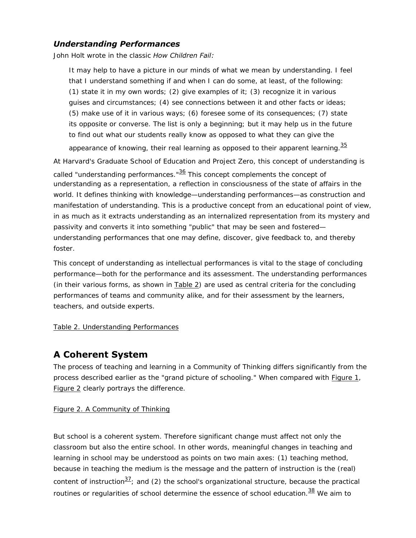#### *Understanding Performances*

John Holt wrote in the classic *How Children Fail:*

It may help to have a picture in our minds of what we mean by understanding. I feel that I understand something if and when I can do some, at least, of the following: (1) state it in my own words; (2) give examples of it; (3) recognize it in various guises and circumstances; (4) see connections between it and other facts or ideas; (5) make use of it in various ways; (6) foresee some of its consequences; (7) state its opposite or converse. The list is only a beginning; but it may help us in the future to find out what our students really know as opposed to what they can give the

appearance of knowing, their real learning as opposed to their apparent learning.  $\frac{35}{5}$  $\frac{35}{5}$  $\frac{35}{5}$ 

<span id="page-15-1"></span><span id="page-15-0"></span>At Harvard's Graduate School of Education and Project Zero, this concept of understanding is called "understanding performances." $36$  This concept complements the concept of understanding as a representation, a reflection in consciousness of the state of affairs in the world. It defines thinking with knowledge—understanding performances—as construction and manifestation of understanding. This is a productive concept from an educational point of view, in as much as it extracts understanding as an internalized representation from its mystery and passivity and converts it into something "public" that may be seen and fostered understanding performances that one may define, discover, give feedback to, and thereby foster.

This concept of understanding as intellectual performances is vital to the stage of concluding performance—both for the performance and its assessment. The understanding performances (in their various forms, as shown in [Table 2\)](#page-16-0) are used as central criteria for the concluding performances of teams and community alike, and for their assessment by the learners, teachers, and outside experts.

#### [Table 2. Understanding Performances](#page-16-0)

# **A Coherent System**

The process of teaching and learning in a Community of Thinking differs significantly from the process described earlier as the "grand picture of schooling." When compared with [Figure 1](#page-3-0), [Figure 2](#page-17-0) clearly portrays the difference.

#### [Figure 2. A Community of Thinking](#page-17-0)

<span id="page-15-3"></span><span id="page-15-2"></span>But school is a coherent system. Therefore significant change must affect not only the classroom but also the entire school. In other words, meaningful changes in teaching and learning in school may be understood as points on two main axes: (1) teaching method, because in teaching the medium is the message and the pattern of instruction is the (real) content of instruction $\frac{37}{2}$  $\frac{37}{2}$  $\frac{37}{2}$ ; and (2) the school's organizational structure, because the practical routines or regularities of school determine the essence of school education.<sup>38</sup> We aim to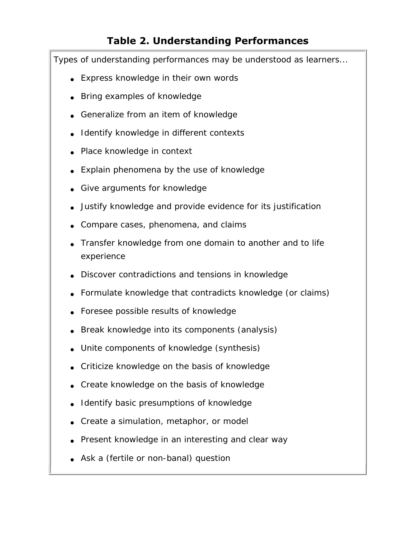# **Table 2. Understanding Performances**

<span id="page-16-0"></span>Types of understanding performances may be understood as learners...

- Express knowledge in their own words
- Bring examples of knowledge
- Generalize from an item of knowledge
- Identify knowledge in different contexts
- Place knowledge in context
- Explain phenomena by the use of knowledge
- Give arguments for knowledge
- Justify knowledge and provide evidence for its justification
- Compare cases, phenomena, and claims
- Transfer knowledge from one domain to another and to life experience
- Discover contradictions and tensions in knowledge
- Formulate knowledge that contradicts knowledge (or claims)
- Foresee possible results of knowledge
- Break knowledge into its components (analysis)
- Unite components of knowledge (synthesis)
- Criticize knowledge on the basis of knowledge
- Create knowledge on the basis of knowledge
- I dentify basic presumptions of knowledge
- Create a simulation, metaphor, or model
- Present knowledge in an interesting and clear way
- Ask a (fertile or non-banal) question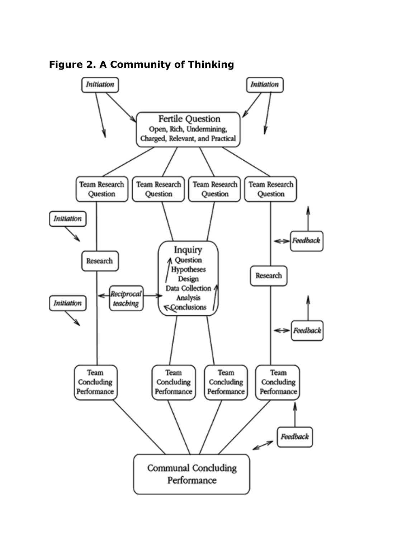

<span id="page-17-0"></span>**Figure 2. A Community of Thinking**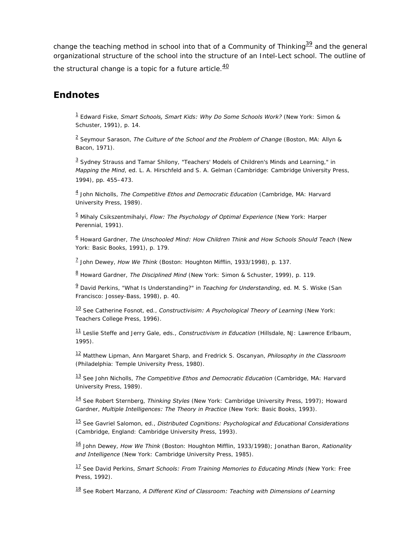<span id="page-18-18"></span>change the teaching method in school into that of a Community of Thinking $\frac{39}{2}$  $\frac{39}{2}$  $\frac{39}{2}$  and the general organizational structure of the school into the structure of an Intel-Lect school. The outline of

<span id="page-18-19"></span>the structural change is a topic for a future article. $\frac{40}{ }$  $\frac{40}{ }$  $\frac{40}{ }$ 

## <span id="page-18-1"></span><span id="page-18-0"></span>**Endnotes**

[1](#page-0-0) Edward Fiske, *Smart Schools, Smart Kids: Why Do Some Schools Work?* (New York: Simon & Schuster, 1991), p. 14.

[2](#page-1-0) Seymour Sarason, *The Culture of the School and the Problem of Change* (Boston, MA: Allyn & Bacon, 1971).

<span id="page-18-2"></span> $3$  Sydney Strauss and Tamar Shilony, "Teachers' Models of Children's Minds and Learning," in *Mapping the Mind*, ed. L. A. Hirschfeld and S. A. Gelman (Cambridge: Cambridge University Press, 1994), pp. 455–473.

<span id="page-18-3"></span>[4](#page-2-0) John Nicholls, *The Competitive Ethos and Democratic Education* (Cambridge, MA: Harvard University Press, 1989).

<span id="page-18-4"></span>[5](#page-2-1) Mihaly Csikszentmihalyi, *Flow: The Psychology of Optimal Experience* (New York: Harper Perennial, 1991).

<span id="page-18-5"></span>[6](#page-2-2) Howard Gardner, *The Unschooled Mind: How Children Think and How Schools Should Teach* (New York: Basic Books, 1991), p. 179.

<span id="page-18-6"></span>[7](#page-2-3) John Dewey, *How We Think* (Boston: Houghton Mifflin, 1933/1998), p. 137.

<span id="page-18-7"></span>[8](#page-2-4) Howard Gardner, *The Disciplined Mind* (New York: Simon & Schuster, 1999), p. 119.

<span id="page-18-8"></span>[9](#page-2-5) David Perkins, "What Is Understanding?" in *Teaching for Understanding*, ed. M. S. Wiske (San Francisco: Jossey-Bass, 1998), p. 40.

<span id="page-18-9"></span>[10](#page-2-6) See Catherine Fosnot, ed., *Constructivisim: A Psychological Theory of Learning* (New York: Teachers College Press, 1996).

<span id="page-18-10"></span>[11](#page-4-0) Leslie Steffe and Jerry Gale, eds., *Constructivism in Education* (Hillsdale, NJ: Lawrence Erlbaum, 1995).

<span id="page-18-11"></span>[12](#page-4-1) Matthew Lipman, Ann Margaret Sharp, and Fredrick S. Oscanyan, *Philosophy in the Classroom* (Philadelphia: Temple University Press, 1980).

<span id="page-18-12"></span>[13](#page-4-2) See John Nicholls, *The Competitive Ethos and Democratic Education* (Cambridge, MA: Harvard University Press, 1989).

<span id="page-18-13"></span>[14](#page-4-3) See Robert Sternberg, *Thinking Styles* (New York: Cambridge University Press, 1997); Howard Gardner, *Multiple Intelligences: The Theory in Practice* (New York: Basic Books, 1993).

<span id="page-18-14"></span>[15](#page-4-4) See Gavriel Salomon, ed., *Distributed Cognitions: Psychological and Educational Considerations* (Cambridge, England: Cambridge University Press, 1993).

<span id="page-18-15"></span>[16](#page-4-5) John Dewey, *How We Think* (Boston: Houghton Mifflin, 1933/1998); Jonathan Baron, *Rationality and Intelligence* (New York: Cambridge University Press, 1985).

<span id="page-18-16"></span>[17](#page-4-6) See David Perkins, *Smart Schools: From Training Memories to Educating Minds* (New York: Free Press, 1992).

<span id="page-18-17"></span>[18](#page-4-7) See Robert Marzano, *A Different Kind of Classroom: Teaching with Dimensions of Learning*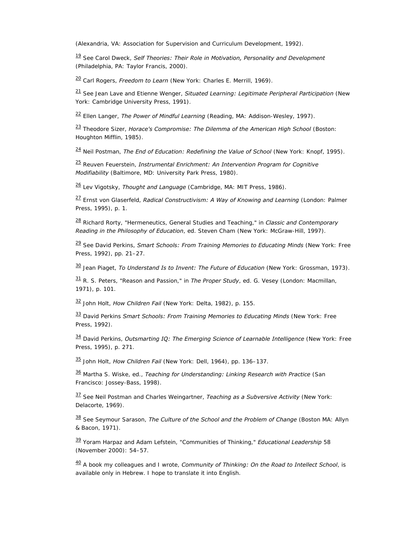(Alexandria, VA: Association for Supervision and Curriculum Development, 1992).

<span id="page-19-0"></span>[19](#page-4-8) See Carol Dweck, *Self Theories: Their Role in Motivation, Personality and Development* (Philadelphia, PA: Taylor Francis, 2000).

<span id="page-19-1"></span>[20](#page-5-0) Carl Rogers, *Freedom to Learn* (New York: Charles E. Merrill, 1969).

<span id="page-19-2"></span>[21](#page-5-1) See Jean Lave and Etienne Wenger, *Situated Learning: Legitimate Peripheral Participation* (New York: Cambridge University Press, 1991).

<span id="page-19-3"></span>[22](#page-5-1) Ellen Langer, *The Power of Mindful Learning* (Reading, MA: Addison-Wesley, 1997).

<span id="page-19-4"></span>[23](#page-5-1) Theodore Sizer, *Horace's Compromise: The Dilemma of the American High School* (Boston: Houghton Mifflin, 1985).

<span id="page-19-5"></span>[24](#page-5-1) Neil Postman, *The End of Education: Redefining the Value of School* (New York: Knopf, 1995).

<span id="page-19-6"></span>[25](#page-5-2) Reuven Feuerstein, *Instrumental Enrichment: An Intervention Program for Cognitive Modifiability* (Baltimore, MD: University Park Press, 1980).

<span id="page-19-7"></span>[26](#page-5-2) Lev Vigotsky, *Thought and Language* (Cambridge, MA: MIT Press, 1986).

<span id="page-19-8"></span>[27](#page-6-0) Ernst von Glaserfeld, *Radical Constructivism: A Way of Knowing and Learning* (London: Palmer Press, 1995), p. 1.

<span id="page-19-9"></span>[28](#page-6-1) Richard Rorty, "Hermeneutics, General Studies and Teaching," in *Classic and Contemporary Reading in the Philosophy of Education*, ed. Steven Cham (New York: McGraw-Hill, 1997).

<span id="page-19-10"></span>[29](#page-6-2) See David Perkins, *Smart Schools: From Training Memories to Educating Minds* (New York: Free Press, 1992), pp. 21–27.

<span id="page-19-11"></span>[30](#page-7-0) Jean Piaget, *To Understand Is to Invent: The Future of Education* (New York: Grossman, 1973).

<span id="page-19-12"></span>[31](#page-7-1) R. S. Peters, "Reason and Passion," in *The Proper Study*, ed. G. Vesey (London: Macmillan, 1971), p. 101.

<span id="page-19-13"></span>[32](#page-7-2) John Holt, *How Children Fail* (New York: Delta, 1982), p. 155.

<span id="page-19-14"></span>[33](#page-7-3) David Perkins *Smart Schools: From Training Memories to Educating Minds* (New York: Free Press, 1992).

<span id="page-19-15"></span>[34](#page-11-0) David Perkins, *Outsmarting IQ: The Emerging Science of Learnable Intelligence* (New York: Free Press, 1995), p. 271.

<span id="page-19-16"></span>[35](#page-15-0) John Holt, *How Children Fail* (New York: Dell, 1964), pp. 136–137.

<span id="page-19-17"></span>[36](#page-15-1) Martha S. Wiske, ed., *Teaching for Understanding: Linking Research with Practice* (San Francisco: Jossey-Bass, 1998).

<span id="page-19-18"></span>[37](#page-15-2) See Neil Postman and Charles Weingartner, *Teaching as a Subversive Activity* (New York: Delacorte, 1969).

<span id="page-19-19"></span>[38](#page-15-3) See Seymour Sarason, *The Culture of the School and the Problem of Change* (Boston MA: Allyn & Bacon, 1971).

<span id="page-19-20"></span>[39](#page-18-18) Yoram Harpaz and Adam Lefstein, "Communities of Thinking," *Educational Leadership* 58 (November 2000): 54–57.

<span id="page-19-21"></span>[40](#page-18-19) A book my colleagues and I wrote, *Community of Thinking: On the Road to Intellect School*, is available only in Hebrew. I hope to translate it into English.